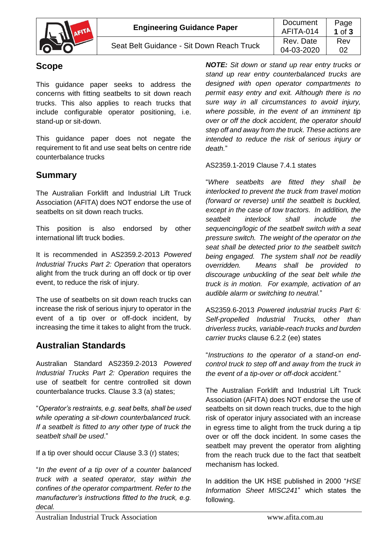

# **Scope**

This guidance paper seeks to address the concerns with fitting seatbelts to sit down reach trucks. This also applies to reach trucks that include configurable operator positioning, i.e. stand-up or sit-down.

This guidance paper does not negate the requirement to fit and use seat belts on centre ride counterbalance trucks

# **Summary**

The Australian Forklift and Industrial Lift Truck Association (AFITA) does NOT endorse the use of seatbelts on sit down reach trucks.

This position is also endorsed by other international lift truck bodies.

It is recommended in AS2359.2-2013 *Powered Industrial Trucks Part 2: Operation* that operators alight from the truck during an off dock or tip over event, to reduce the risk of injury.

The use of seatbelts on sit down reach trucks can increase the risk of serious injury to operator in the event of a tip over or off-dock incident, by increasing the time it takes to alight from the truck.

# **Australian Standards**

Australian Standard AS2359.2-2013 *Powered Industrial Trucks Part 2: Operation* requires the use of seatbelt for centre controlled sit down counterbalance trucks. Clause 3.3 (a) states;

"*Operator's restraints, e.g. seat belts, shall be used while operating a sit-down counterbalanced truck. If a seatbelt is fitted to any other type of truck the seatbelt shall be used*."

If a tip over should occur Clause 3.3 (r) states;

"*In the event of a tip over of a counter balanced truck with a seated operator, stay within the confines of the operator compartment. Refer to the manufacturer's instructions fitted to the truck, e.g. decal.*

*NOTE: Sit down or stand up rear entry trucks or stand up rear entry counterbalanced trucks are designed with open operator compartments to permit easy entry and exit. Although there is no sure way in all circumstances to avoid injury, where possible, in the event of an imminent tip over or off the dock accident, the operator should step off and away from the truck. These actions are intended to reduce the risk of serious injury or death.*"

AS2359.1-2019 Clause 7.4.1 states

"*Where seatbelts are fitted they shall be interlocked to prevent the truck from travel motion (forward or reverse) until the seatbelt is buckled, except in the case of tow tractors. In addition, the seatbelt interlock shall include the sequencing/logic of the seatbelt switch with a seat pressure switch. The weight of the operator on the seat shall be detected prior to the seatbelt switch being engaged. The system shall not be readily overridden. Means shall be provided to discourage unbuckling of the seat belt while the truck is in motion. For example, activation of an audible alarm or switching to neutral.*"

AS2359.6-2013 *Powered industrial trucks Part 6: Self-propelled Industrial Trucks, other than driverless trucks, variable-reach trucks and burden carrier trucks* clause 6.2.2 (ee) states

"*Instructions to the operator of a stand-on endcontrol truck to step off and away from the truck in the event of a tip-over or off-dock accident.*"

The Australian Forklift and Industrial Lift Truck Association (AFITA) does NOT endorse the use of seatbelts on sit down reach trucks, due to the high risk of operator injury associated with an increase in egress time to alight from the truck during a tip over or off the dock incident. In some cases the seatbelt may prevent the operator from alighting from the reach truck due to the fact that seatbelt mechanism has locked.

In addition the UK HSE published in 2000 "*HSE Information Sheet MISC241*" which states the following.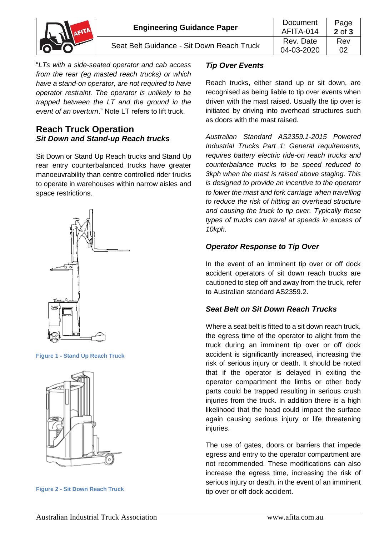|  | <b>Engineering Guidance Paper</b>         | Document<br>AFITA-014   | Page<br>$2$ of $3$ |
|--|-------------------------------------------|-------------------------|--------------------|
|  | Seat Belt Guidance - Sit Down Reach Truck | Rev. Date<br>04-03-2020 | Rev                |

"*LTs with a side-seated operator and cab access from the rear (eg masted reach trucks) or which have a stand-on operator, are not required to have operator restraint. The operator is unlikely to be trapped between the LT and the ground in the event of an overturn*." Note LT refers to lift truck.

### **Reach Truck Operation** *Sit Down and Stand-up Reach trucks*

Sit Down or Stand Up Reach trucks and Stand Up rear entry counterbalanced trucks have greater manoeuvrability than centre controlled rider trucks to operate in warehouses within narrow aisles and space restrictions.



#### **Figure 1 - Stand Up Reach Truck**



**Figure 2 - Sit Down Reach Truck**

#### *Tip Over Events*

Reach trucks, either stand up or sit down, are recognised as being liable to tip over events when driven with the mast raised. Usually the tip over is initiated by driving into overhead structures such as doors with the mast raised.

*Australian Standard AS2359.1-2015 Powered Industrial Trucks Part 1: General requirements, requires battery electric ride-on reach trucks and counterbalance trucks to be speed reduced to 3kph when the mast is raised above staging. This is designed to provide an incentive to the operator to lower the mast and fork carriage when travelling to reduce the risk of hitting an overhead structure and causing the truck to tip over. Typically these types of trucks can travel at speeds in excess of 10kph.*

### *Operator Response to Tip Over*

In the event of an imminent tip over or off dock accident operators of sit down reach trucks are cautioned to step off and away from the truck, refer to Australian standard AS2359.2.

### *Seat Belt on Sit Down Reach Trucks*

Where a seat belt is fitted to a sit down reach truck. the egress time of the operator to alight from the truck during an imminent tip over or off dock accident is significantly increased, increasing the risk of serious injury or death. It should be noted that if the operator is delayed in exiting the operator compartment the limbs or other body parts could be trapped resulting in serious crush injuries from the truck. In addition there is a high likelihood that the head could impact the surface again causing serious injury or life threatening injuries.

The use of gates, doors or barriers that impede egress and entry to the operator compartment are not recommended. These modifications can also increase the egress time, increasing the risk of serious injury or death, in the event of an imminent tip over or off dock accident.